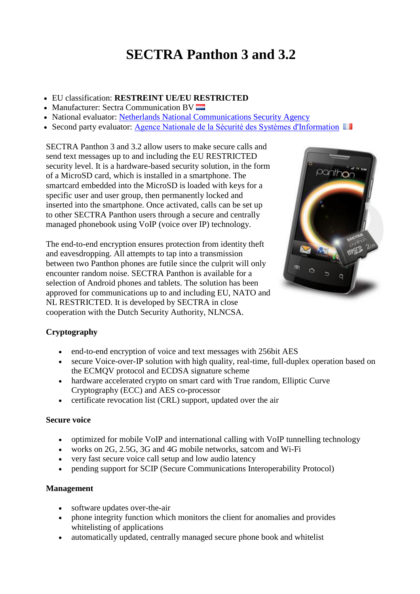# **SECTRA Panthon 3 and 3.2**

- EU classification: **RESTREINT UE/EU RESTRICTED**
- Manufacturer: Sectra Communication BV
- National evaluator: [Netherlands National Communications Security Agency](https://www.aivd.nl/onderwerpen/infobeveiliging/nbv/)
- Second party evaluator: [Agence Nationale de la Sécurité des Systèmes d'Information](http://www.ssi.gouv.fr/)  $\blacksquare$

SECTRA Panthon 3 and 3.2 allow users to make secure calls and send text messages up to and including the EU RESTRICTED security level. It is a hardware-based security solution, in the form of a MicroSD card, which is installed in a smartphone. The smartcard embedded into the MicroSD is loaded with keys for a specific user and user group, then permanently locked and inserted into the smartphone. Once activated, calls can be set up to other SECTRA Panthon users through a secure and centrally managed phonebook using VoIP (voice over IP) technology.

The end-to-end encryption ensures protection from identity theft and eavesdropping. All attempts to tap into a transmission between two Panthon phones are futile since the culprit will only encounter random noise. SECTRA Panthon is available for a selection of Android phones and tablets. The solution has been approved for communications up to and including EU, NATO and NL RESTRICTED. It is developed by SECTRA in close cooperation with the Dutch Security Authority, NLNCSA.



## **Cryptography**

- end-to-end encryption of voice and text messages with 256bit AES
- secure Voice-over-IP solution with high quality, real-time, full-duplex operation based on the ECMQV protocol and ECDSA signature scheme
- hardware accelerated crypto on smart card with True random, Elliptic Curve Cryptography (ECC) and AES co-processor
- certificate revocation list (CRL) support, updated over the air

#### **Secure voice**

- optimized for mobile VoIP and international calling with VoIP tunnelling technology
- works on 2G, 2.5G, 3G and 4G mobile networks, satcom and Wi-Fi
- very fast secure voice call setup and low audio latency
- pending support for SCIP (Secure Communications Interoperability Protocol)

#### **Management**

- software updates over-the-air
- phone integrity function which monitors the client for anomalies and provides whitelisting of applications
- automatically updated, centrally managed secure phone book and whitelist